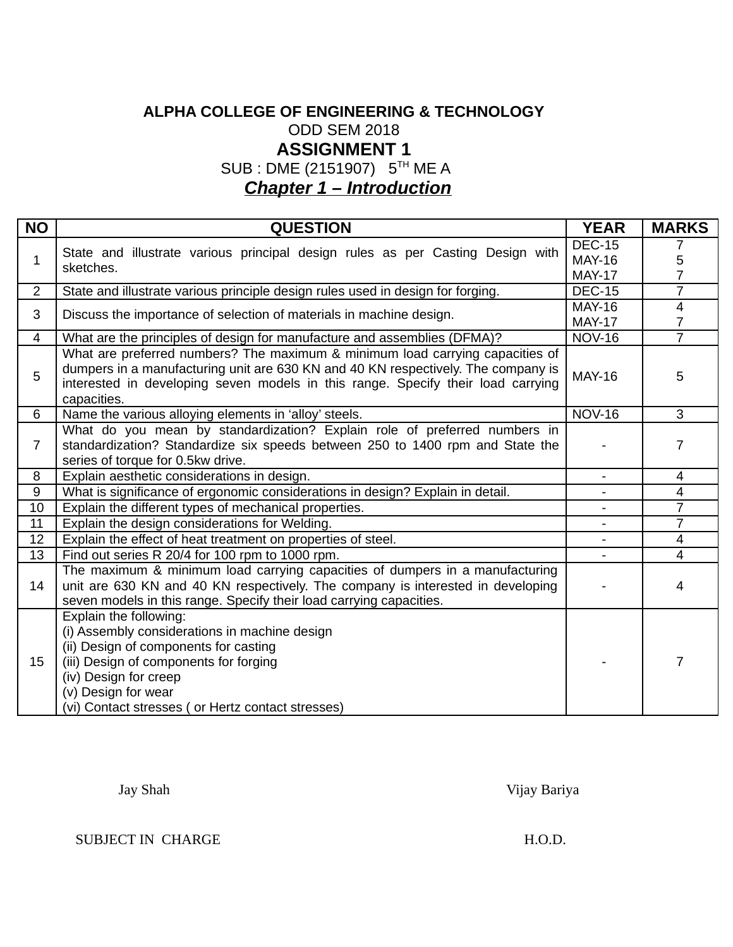# **ALPHA COLLEGE OF ENGINEERING & TECHNOLOGY** ODD SEM 2018 **ASSIGNMENT 1**

SUB : DME (2151907) 5TH ME A

*Chapter 1 – Introduction*

| <b>NO</b>      | <b>OUESTION</b>                                                                                                                                                                                                                                                       | <b>YEAR</b>              | <b>MARKS</b>   |
|----------------|-----------------------------------------------------------------------------------------------------------------------------------------------------------------------------------------------------------------------------------------------------------------------|--------------------------|----------------|
| 1              | State and illustrate various principal design rules as per Casting Design with                                                                                                                                                                                        | <b>DEC-15</b>            | 7              |
|                | sketches.                                                                                                                                                                                                                                                             | <b>MAY-16</b>            | 5              |
|                |                                                                                                                                                                                                                                                                       | <b>MAY-17</b>            | $\overline{7}$ |
| $\overline{2}$ | State and illustrate various principle design rules used in design for forging.                                                                                                                                                                                       | <b>DEC-15</b>            | $\overline{7}$ |
| 3              | Discuss the importance of selection of materials in machine design.                                                                                                                                                                                                   | <b>MAY-16</b>            | $\overline{4}$ |
|                |                                                                                                                                                                                                                                                                       | <b>MAY-17</b>            | $\overline{7}$ |
| $\overline{4}$ | What are the principles of design for manufacture and assemblies (DFMA)?                                                                                                                                                                                              | <b>NOV-16</b>            | $\overline{7}$ |
| 5              | What are preferred numbers? The maximum & minimum load carrying capacities of<br>dumpers in a manufacturing unit are 630 KN and 40 KN respectively. The company is<br>interested in developing seven models in this range. Specify their load carrying<br>capacities. | <b>MAY-16</b>            | 5              |
| 6              | Name the various alloying elements in 'alloy' steels.                                                                                                                                                                                                                 | <b>NOV-16</b>            | 3              |
| 7              | What do you mean by standardization? Explain role of preferred numbers in<br>standardization? Standardize six speeds between 250 to 1400 rpm and State the<br>series of torque for 0.5kw drive.                                                                       |                          | 7              |
| 8              | Explain aesthetic considerations in design.                                                                                                                                                                                                                           |                          | 4              |
| 9              | What is significance of ergonomic considerations in design? Explain in detail.                                                                                                                                                                                        | $\overline{\phantom{a}}$ | 4              |
| 10             | Explain the different types of mechanical properties.                                                                                                                                                                                                                 |                          | $\overline{7}$ |
| 11             | Explain the design considerations for Welding.                                                                                                                                                                                                                        | $\qquad \qquad -$        | $\overline{7}$ |
| 12             | Explain the effect of heat treatment on properties of steel.                                                                                                                                                                                                          | $\overline{\phantom{a}}$ | $\overline{4}$ |
| 13             | Find out series R 20/4 for 100 rpm to 1000 rpm.                                                                                                                                                                                                                       |                          | $\overline{4}$ |
| 14             | The maximum & minimum load carrying capacities of dumpers in a manufacturing<br>unit are 630 KN and 40 KN respectively. The company is interested in developing<br>seven models in this range. Specify their load carrying capacities.                                |                          | 4              |
| 15             | Explain the following:<br>(i) Assembly considerations in machine design<br>(ii) Design of components for casting<br>(iii) Design of components for forging<br>(iv) Design for creep<br>(v) Design for wear<br>(vi) Contact stresses ( or Hertz contact stresses)      |                          | 7              |

Jay Shah Vijay Bariya

SUBJECT IN CHARGE H.O.D.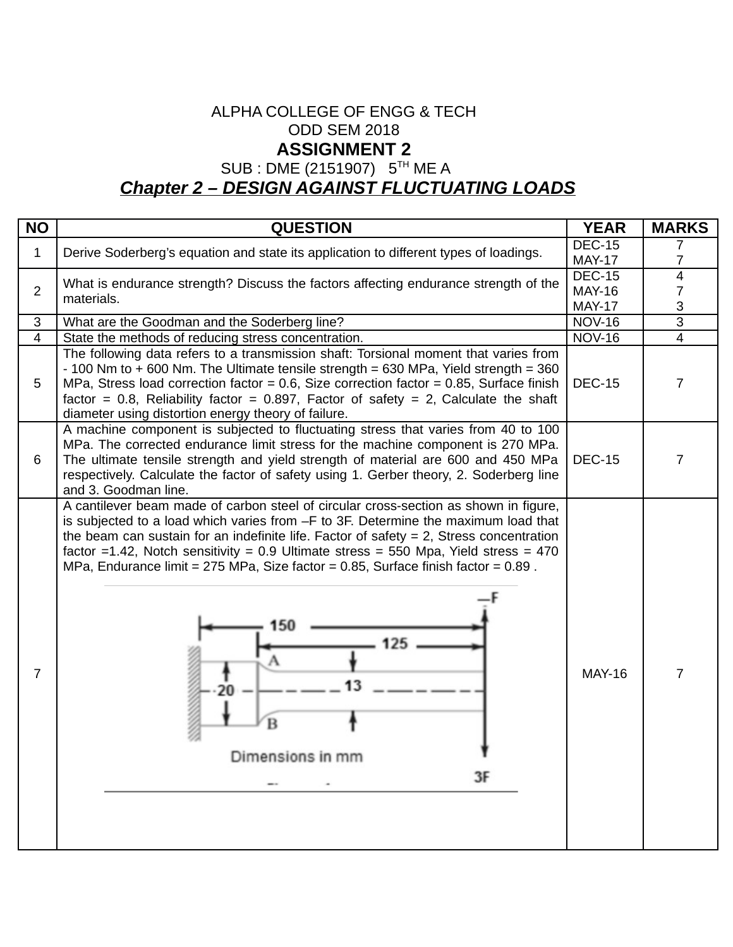#### ALPHA COLLEGE OF ENGG & TECH ODD SEM 2018 **ASSIGNMENT 2**

SUB : DME (2151907) 5<sup>TH</sup> ME A

# *Chapter 2 – DESIGN AGAINST FLUCTUATING LOADS*

| <b>NO</b>      | <b>QUESTION</b>                                                                                                                                                                                                                                                                                                                                                                                                                                                                                  | <b>YEAR</b>                                     | <b>MARKS</b>             |
|----------------|--------------------------------------------------------------------------------------------------------------------------------------------------------------------------------------------------------------------------------------------------------------------------------------------------------------------------------------------------------------------------------------------------------------------------------------------------------------------------------------------------|-------------------------------------------------|--------------------------|
| $\mathbf{1}$   | Derive Soderberg's equation and state its application to different types of loadings.                                                                                                                                                                                                                                                                                                                                                                                                            | <b>DEC-15</b><br><b>MAY-17</b>                  | 7                        |
| $\overline{2}$ | What is endurance strength? Discuss the factors affecting endurance strength of the<br>materials.                                                                                                                                                                                                                                                                                                                                                                                                | <b>DEC-15</b><br><b>MAY-16</b><br><b>MAY-17</b> | $\overline{4}$<br>7<br>3 |
| 3              | What are the Goodman and the Soderberg line?                                                                                                                                                                                                                                                                                                                                                                                                                                                     | <b>NOV-16</b>                                   | $\overline{3}$           |
| $\overline{4}$ | State the methods of reducing stress concentration.                                                                                                                                                                                                                                                                                                                                                                                                                                              | <b>NOV-16</b>                                   | $\overline{4}$           |
| 5              | The following data refers to a transmission shaft: Torsional moment that varies from<br>- 100 Nm to $+$ 600 Nm. The Ultimate tensile strength = 630 MPa, Yield strength = 360<br>MPa, Stress load correction factor = $0.6$ , Size correction factor = $0.85$ , Surface finish<br>factor = 0.8, Reliability factor = 0.897, Factor of safety = 2, Calculate the shaft<br>diameter using distortion energy theory of failure.                                                                     | <b>DEC-15</b>                                   | 7                        |
| 6              | A machine component is subjected to fluctuating stress that varies from 40 to 100<br>MPa. The corrected endurance limit stress for the machine component is 270 MPa.<br>The ultimate tensile strength and yield strength of material are 600 and 450 MPa<br>respectively. Calculate the factor of safety using 1. Gerber theory, 2. Soderberg line<br>and 3. Goodman line.                                                                                                                       | <b>DEC-15</b>                                   | 7                        |
| $\overline{7}$ | A cantilever beam made of carbon steel of circular cross-section as shown in figure,<br>is subjected to a load which varies from -F to 3F. Determine the maximum load that<br>the beam can sustain for an indefinite life. Factor of safety $= 2$ , Stress concentration<br>factor =1.42, Notch sensitivity = $0.9$ Ultimate stress = 550 Mpa, Yield stress = 470<br>MPa, Endurance limit = 275 MPa, Size factor = 0.85, Surface finish factor = $0.89$ .<br>125<br>20<br>Dimensions in mm<br>3F | <b>MAY-16</b>                                   | 7                        |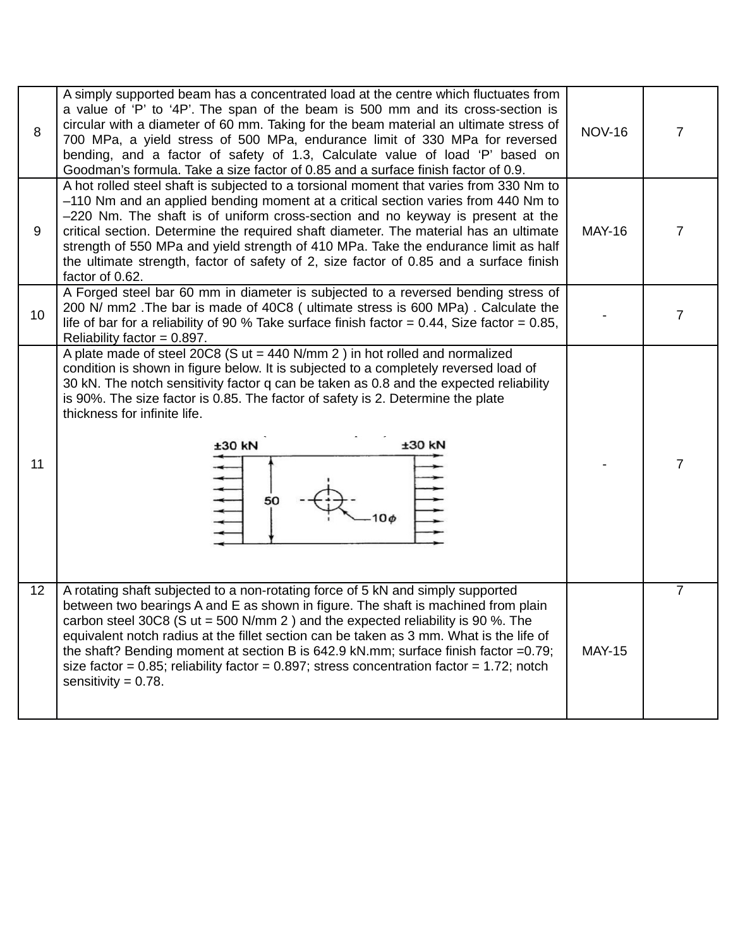| 8  | A simply supported beam has a concentrated load at the centre which fluctuates from<br>a value of 'P' to '4P'. The span of the beam is 500 mm and its cross-section is<br>circular with a diameter of 60 mm. Taking for the beam material an ultimate stress of<br>700 MPa, a yield stress of 500 MPa, endurance limit of 330 MPa for reversed<br>bending, and a factor of safety of 1.3, Calculate value of load 'P' based on<br>Goodman's formula. Take a size factor of 0.85 and a surface finish factor of 0.9.                                                     | <b>NOV-16</b> | 7              |
|----|-------------------------------------------------------------------------------------------------------------------------------------------------------------------------------------------------------------------------------------------------------------------------------------------------------------------------------------------------------------------------------------------------------------------------------------------------------------------------------------------------------------------------------------------------------------------------|---------------|----------------|
| 9  | A hot rolled steel shaft is subjected to a torsional moment that varies from 330 Nm to<br>$-110$ Nm and an applied bending moment at a critical section varies from 440 Nm to<br>$-220$ Nm. The shaft is of uniform cross-section and no keyway is present at the<br>critical section. Determine the required shaft diameter. The material has an ultimate<br>strength of 550 MPa and yield strength of 410 MPa. Take the endurance limit as half<br>the ultimate strength, factor of safety of 2, size factor of 0.85 and a surface finish<br>factor of 0.62.          | <b>MAY-16</b> | $\overline{7}$ |
| 10 | A Forged steel bar 60 mm in diameter is subjected to a reversed bending stress of<br>200 N/ mm2. The bar is made of 40C8 (ultimate stress is 600 MPa). Calculate the<br>life of bar for a reliability of 90 % Take surface finish factor = $0.44$ , Size factor = $0.85$ ,<br>Reliability factor = $0.897$ .                                                                                                                                                                                                                                                            |               | $\overline{7}$ |
| 11 | A plate made of steel 20C8 (S $ut = 440$ N/mm 2 ) in hot rolled and normalized<br>condition is shown in figure below. It is subjected to a completely reversed load of<br>30 kN. The notch sensitivity factor q can be taken as 0.8 and the expected reliability<br>is 90%. The size factor is 0.85. The factor of safety is 2. Determine the plate<br>thickness for infinite life.<br>±30 kN<br>$±30$ kN<br>111111<br>50<br>$10\phi$                                                                                                                                   |               | $\overline{7}$ |
| 12 | A rotating shaft subjected to a non-rotating force of 5 kN and simply supported<br>between two bearings A and E as shown in figure. The shaft is machined from plain<br>carbon steel 30C8 (S ut = 500 N/mm 2 ) and the expected reliability is 90 %. The<br>equivalent notch radius at the fillet section can be taken as 3 mm. What is the life of<br>the shaft? Bending moment at section B is 642.9 kN.mm; surface finish factor =0.79;<br>size factor = $0.85$ ; reliability factor = $0.897$ ; stress concentration factor = 1.72; notch<br>sensitivity = $0.78$ . | <b>MAY-15</b> | 7              |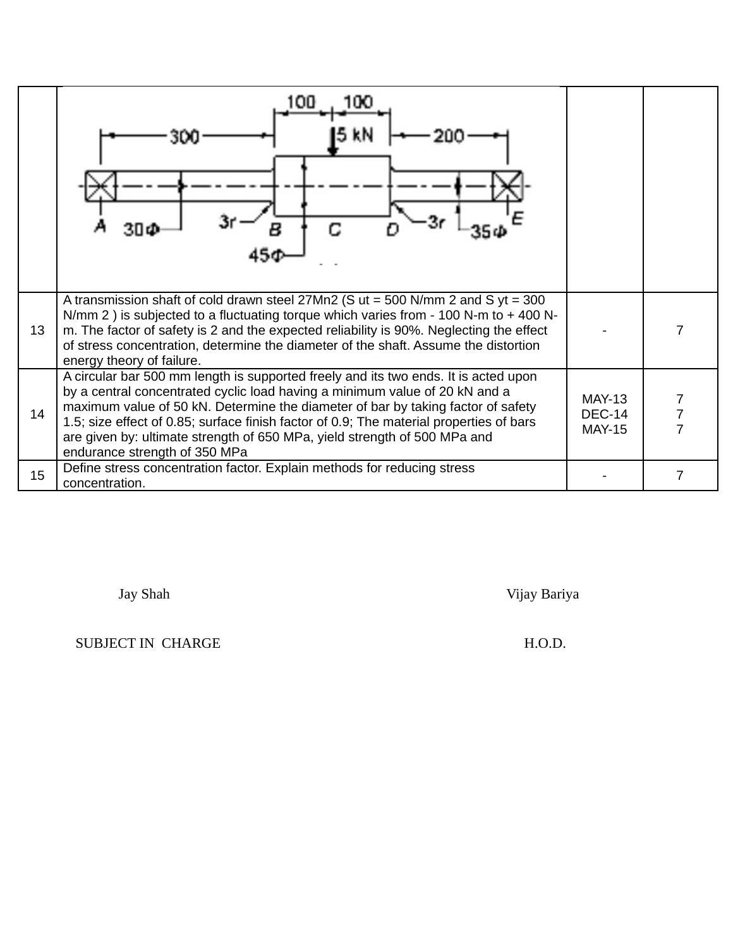|    | 100<br>100                                                                                                                                                                                                                                                                                                                                                                                                                                                      |                                          |                |
|----|-----------------------------------------------------------------------------------------------------------------------------------------------------------------------------------------------------------------------------------------------------------------------------------------------------------------------------------------------------------------------------------------------------------------------------------------------------------------|------------------------------------------|----------------|
| 13 | A transmission shaft of cold drawn steel $27Mn2$ (S ut = 500 N/mm 2 and S yt = 300<br>N/mm 2) is subjected to a fluctuating torque which varies from - 100 N-m to $+$ 400 N-<br>m. The factor of safety is 2 and the expected reliability is 90%. Neglecting the effect<br>of stress concentration, determine the diameter of the shaft. Assume the distortion<br>energy theory of failure.                                                                     |                                          |                |
| 14 | A circular bar 500 mm length is supported freely and its two ends. It is acted upon<br>by a central concentrated cyclic load having a minimum value of 20 kN and a<br>maximum value of 50 kN. Determine the diameter of bar by taking factor of safety<br>1.5; size effect of 0.85; surface finish factor of 0.9; The material properties of bars<br>are given by: ultimate strength of 650 MPa, yield strength of 500 MPa and<br>endurance strength of 350 MPa | MAY-13<br><b>DEC-14</b><br><b>MAY-15</b> | $\overline{7}$ |
| 15 | Define stress concentration factor. Explain methods for reducing stress<br>concentration.                                                                                                                                                                                                                                                                                                                                                                       |                                          |                |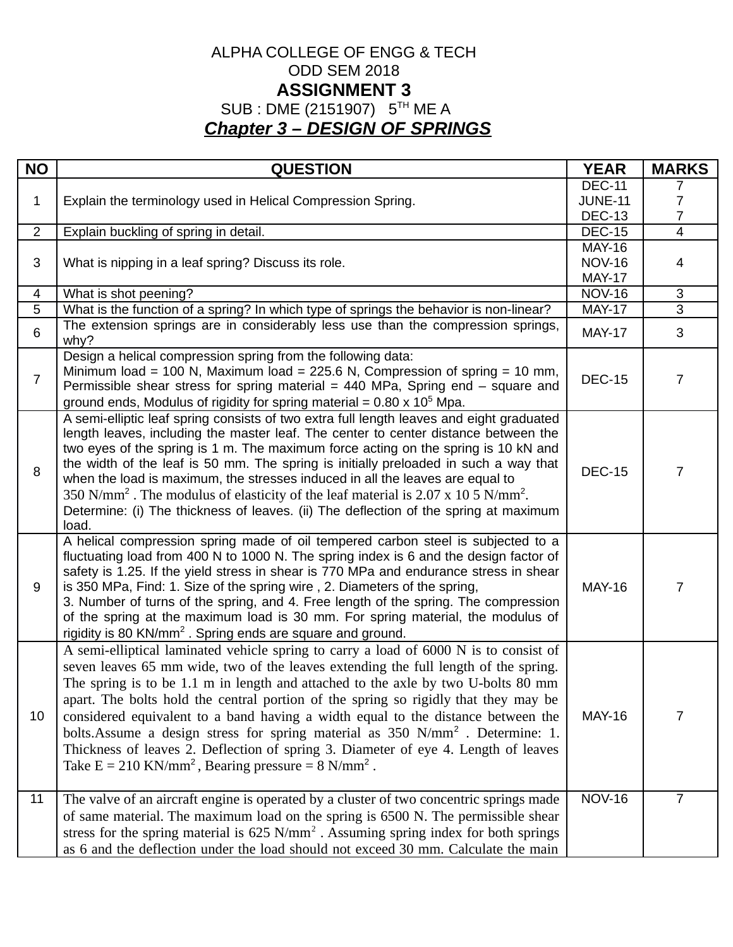## ALPHA COLLEGE OF ENGG & TECH ODD SEM 2018 **ASSIGNMENT 3** SUB : DME (2151907) 5<sup>TH</sup> ME A *Chapter 3 – DESIGN OF SPRINGS*

| <b>NO</b>      | <b>QUESTION</b>                                                                                                                                                                                                                                                                                                                                                                                                                                                                                                                                                                                                                                                                                              | <b>YEAR</b>                    | <b>MARKS</b>   |
|----------------|--------------------------------------------------------------------------------------------------------------------------------------------------------------------------------------------------------------------------------------------------------------------------------------------------------------------------------------------------------------------------------------------------------------------------------------------------------------------------------------------------------------------------------------------------------------------------------------------------------------------------------------------------------------------------------------------------------------|--------------------------------|----------------|
|                |                                                                                                                                                                                                                                                                                                                                                                                                                                                                                                                                                                                                                                                                                                              | <b>DEC-11</b>                  | $\prime$       |
| $\mathbf 1$    | Explain the terminology used in Helical Compression Spring.                                                                                                                                                                                                                                                                                                                                                                                                                                                                                                                                                                                                                                                  | <b>JUNE-11</b>                 | 7              |
|                |                                                                                                                                                                                                                                                                                                                                                                                                                                                                                                                                                                                                                                                                                                              | <b>DEC-13</b>                  | $\overline{7}$ |
| $\overline{2}$ | Explain buckling of spring in detail.                                                                                                                                                                                                                                                                                                                                                                                                                                                                                                                                                                                                                                                                        | <b>DEC-15</b>                  | $\overline{4}$ |
|                |                                                                                                                                                                                                                                                                                                                                                                                                                                                                                                                                                                                                                                                                                                              | <b>MAY-16</b>                  |                |
| 3              | What is nipping in a leaf spring? Discuss its role.                                                                                                                                                                                                                                                                                                                                                                                                                                                                                                                                                                                                                                                          | <b>NOV-16</b>                  | 4              |
|                |                                                                                                                                                                                                                                                                                                                                                                                                                                                                                                                                                                                                                                                                                                              | <b>MAY-17</b>                  |                |
| 4              | What is shot peening?                                                                                                                                                                                                                                                                                                                                                                                                                                                                                                                                                                                                                                                                                        | <b>NOV-16</b>                  | $\sqrt{3}$     |
| $\overline{5}$ | What is the function of a spring? In which type of springs the behavior is non-linear?                                                                                                                                                                                                                                                                                                                                                                                                                                                                                                                                                                                                                       | <b>MAY-17</b>                  | $\overline{3}$ |
| 6              | The extension springs are in considerably less use than the compression springs,<br>why?                                                                                                                                                                                                                                                                                                                                                                                                                                                                                                                                                                                                                     | <b>MAY-17</b>                  | 3              |
| $\overline{7}$ | Design a helical compression spring from the following data:<br>Minimum load = 100 N, Maximum load = 225.6 N, Compression of spring = 10 mm,<br>Permissible shear stress for spring material = $440$ MPa, Spring end – square and<br>ground ends, Modulus of rigidity for spring material = $0.80 \times 10^5$ Mpa.                                                                                                                                                                                                                                                                                                                                                                                          | <b>DEC-15</b>                  | $\overline{7}$ |
| 8              | A semi-elliptic leaf spring consists of two extra full length leaves and eight graduated<br>length leaves, including the master leaf. The center to center distance between the<br>two eyes of the spring is 1 m. The maximum force acting on the spring is 10 kN and<br>the width of the leaf is 50 mm. The spring is initially preloaded in such a way that<br>when the load is maximum, the stresses induced in all the leaves are equal to<br>350 N/mm <sup>2</sup> . The modulus of elasticity of the leaf material is 2.07 x 10 5 N/mm <sup>2</sup> .<br>Determine: (i) The thickness of leaves. (ii) The deflection of the spring at maximum<br>load.                                                 | <b>DEC-15</b>                  | $\overline{7}$ |
| 9              | A helical compression spring made of oil tempered carbon steel is subjected to a<br>fluctuating load from 400 N to 1000 N. The spring index is 6 and the design factor of<br>safety is 1.25. If the yield stress in shear is 770 MPa and endurance stress in shear<br>is 350 MPa, Find: 1. Size of the spring wire, 2. Diameters of the spring,<br>3. Number of turns of the spring, and 4. Free length of the spring. The compression<br>of the spring at the maximum load is 30 mm. For spring material, the modulus of<br>rigidity is 80 KN/mm <sup>2</sup> . Spring ends are square and ground.                                                                                                          | <b>MAY-16</b>                  | $\overline{7}$ |
| 10             | A semi-elliptical laminated vehicle spring to carry a load of 6000 N is to consist of<br>seven leaves 65 mm wide, two of the leaves extending the full length of the spring.<br>The spring is to be 1.1 m in length and attached to the axle by two U-bolts 80 mm<br>apart. The bolts hold the central portion of the spring so rigidly that they may be<br>considered equivalent to a band having a width equal to the distance between the<br>bolts.Assume a design stress for spring material as 350 N/mm <sup>2</sup> . Determine: 1.<br>Thickness of leaves 2. Deflection of spring 3. Diameter of eye 4. Length of leaves<br>Take $E = 210 \text{ KN/mm}^2$ , Bearing pressure = 8 N/mm <sup>2</sup> . | <b>MAY-16</b><br><b>NOV-16</b> | $\overline{7}$ |
| 11             | The valve of an aircraft engine is operated by a cluster of two concentric springs made<br>of same material. The maximum load on the spring is 6500 N. The permissible shear<br>stress for the spring material is $625 \text{ N/mm}^2$ . Assuming spring index for both springs<br>as 6 and the deflection under the load should not exceed 30 mm. Calculate the main                                                                                                                                                                                                                                                                                                                                        |                                | $\overline{7}$ |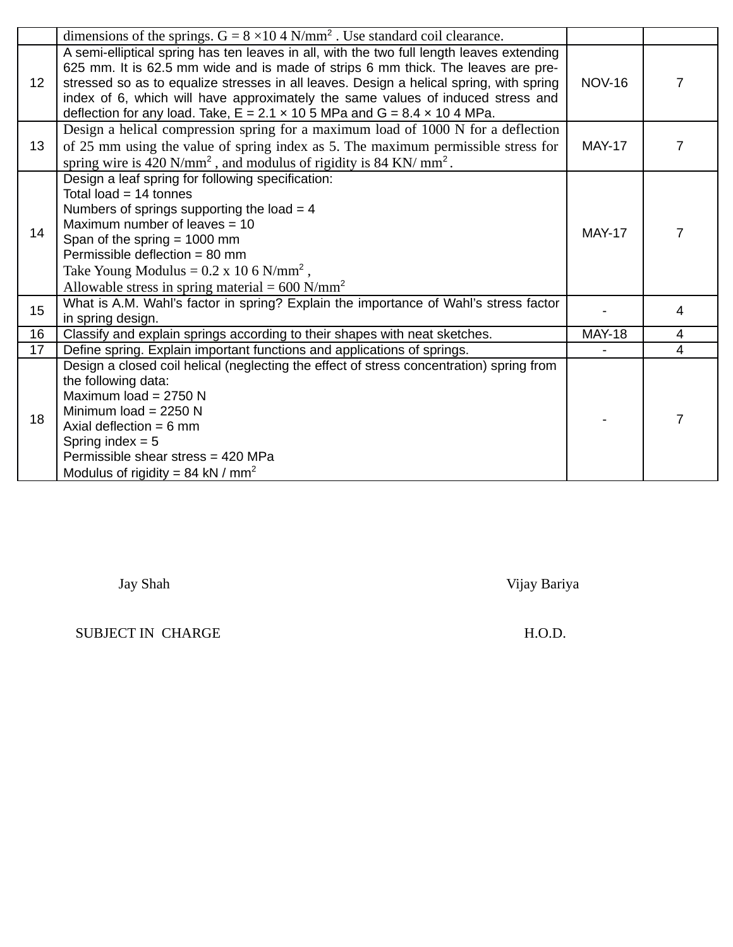|    | dimensions of the springs. $G = 8 \times 10.4$ N/mm <sup>2</sup> . Use standard coil clearance.                                                                                                                                                                                                                                                                                                                                                        |               |                |
|----|--------------------------------------------------------------------------------------------------------------------------------------------------------------------------------------------------------------------------------------------------------------------------------------------------------------------------------------------------------------------------------------------------------------------------------------------------------|---------------|----------------|
| 12 | A semi-elliptical spring has ten leaves in all, with the two full length leaves extending<br>625 mm. It is 62.5 mm wide and is made of strips 6 mm thick. The leaves are pre-<br>stressed so as to equalize stresses in all leaves. Design a helical spring, with spring<br>index of 6, which will have approximately the same values of induced stress and<br>deflection for any load. Take, $E = 2.1 \times 10.5$ MPa and G = 8.4 $\times$ 10.4 MPa. | <b>NOV-16</b> | $\overline{7}$ |
| 13 | Design a helical compression spring for a maximum load of 1000 N for a deflection<br>of 25 mm using the value of spring index as 5. The maximum permissible stress for<br>spring wire is 420 $N/mm^2$ , and modulus of rigidity is 84 KN/ mm <sup>2</sup> .                                                                                                                                                                                            | <b>MAY-17</b> | 7              |
| 14 | Design a leaf spring for following specification:<br>Total load = $14$ tonnes<br>Numbers of springs supporting the load $=$ 4<br>Maximum number of leaves $=$ 10<br>Span of the spring $= 1000$ mm<br>Permissible deflection = 80 mm<br>Take Young Modulus = $0.2 \times 10\,6 \text{ N/mm}^2$ ,<br>Allowable stress in spring material = $600$ N/mm <sup>2</sup>                                                                                      | <b>MAY-17</b> | 7              |
| 15 | What is A.M. Wahl's factor in spring? Explain the importance of Wahl's stress factor<br>in spring design.                                                                                                                                                                                                                                                                                                                                              |               | 4              |
| 16 | Classify and explain springs according to their shapes with neat sketches.                                                                                                                                                                                                                                                                                                                                                                             | <b>MAY-18</b> | 4              |
| 17 | Define spring. Explain important functions and applications of springs.                                                                                                                                                                                                                                                                                                                                                                                |               | 4              |
| 18 | Design a closed coil helical (neglecting the effect of stress concentration) spring from<br>the following data:<br>Maximum load = $2750$ N<br>Minimum load = $2250$ N<br>Axial deflection = $6 \text{ mm}$<br>Spring index $= 5$<br>Permissible shear stress = 420 MPa<br>Modulus of rigidity = 84 kN / $mm2$                                                                                                                                          |               | $\overline{7}$ |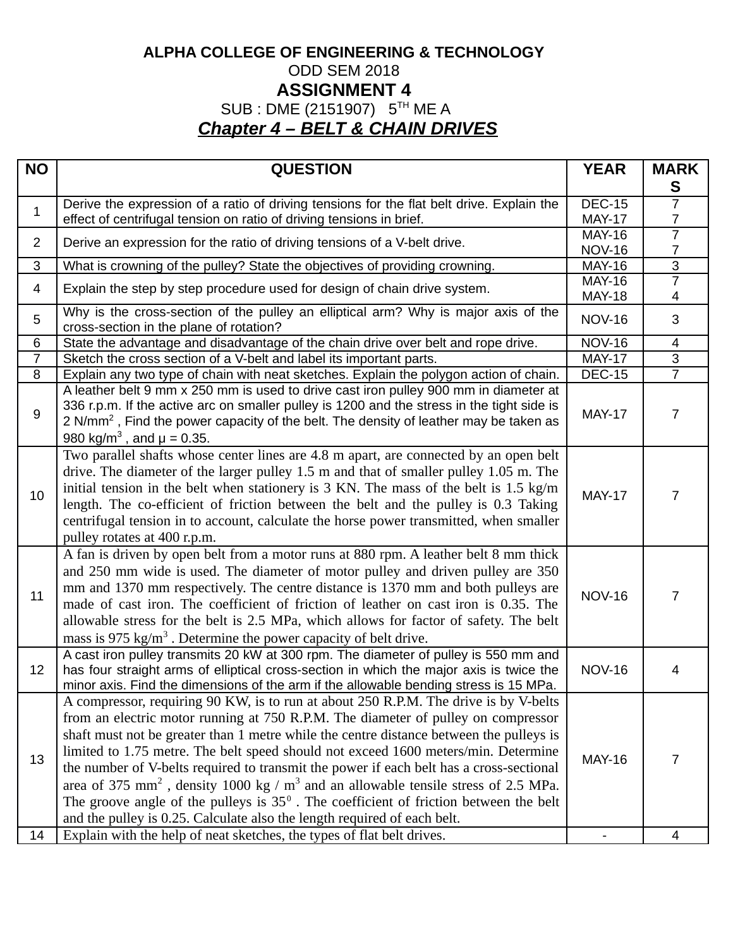# **ALPHA COLLEGE OF ENGINEERING & TECHNOLOGY** ODD SEM 2018 **ASSIGNMENT 4** SUB : DME (2151907) 5<sup>TH</sup> ME A *Chapter 4 – BELT & CHAIN DRIVES*

| <b>NO</b>      | <b>QUESTION</b>                                                                                                                                                                                                                                                                                                                                                                                                                                                                                                                                                                                                                                                                                                                        | <b>YEAR</b>                    | <b>MARK</b><br>S    |
|----------------|----------------------------------------------------------------------------------------------------------------------------------------------------------------------------------------------------------------------------------------------------------------------------------------------------------------------------------------------------------------------------------------------------------------------------------------------------------------------------------------------------------------------------------------------------------------------------------------------------------------------------------------------------------------------------------------------------------------------------------------|--------------------------------|---------------------|
| $\mathbf{1}$   | Derive the expression of a ratio of driving tensions for the flat belt drive. Explain the                                                                                                                                                                                                                                                                                                                                                                                                                                                                                                                                                                                                                                              | <b>DEC-15</b>                  | $\overline{7}$      |
|                | effect of centrifugal tension on ratio of driving tensions in brief.                                                                                                                                                                                                                                                                                                                                                                                                                                                                                                                                                                                                                                                                   | <b>MAY-17</b>                  | 7                   |
| $\overline{2}$ | Derive an expression for the ratio of driving tensions of a V-belt drive.                                                                                                                                                                                                                                                                                                                                                                                                                                                                                                                                                                                                                                                              | <b>MAY-16</b>                  | $\overline{7}$<br>7 |
| 3              | What is crowning of the pulley? State the objectives of providing crowning.                                                                                                                                                                                                                                                                                                                                                                                                                                                                                                                                                                                                                                                            | <b>NOV-16</b><br><b>MAY-16</b> | $\overline{3}$      |
|                |                                                                                                                                                                                                                                                                                                                                                                                                                                                                                                                                                                                                                                                                                                                                        | <b>MAY-16</b>                  | 7                   |
| 4              | Explain the step by step procedure used for design of chain drive system.                                                                                                                                                                                                                                                                                                                                                                                                                                                                                                                                                                                                                                                              | <b>MAY-18</b>                  | 4                   |
| 5              | Why is the cross-section of the pulley an elliptical arm? Why is major axis of the<br>cross-section in the plane of rotation?                                                                                                                                                                                                                                                                                                                                                                                                                                                                                                                                                                                                          | <b>NOV-16</b>                  | 3                   |
| 6              | State the advantage and disadvantage of the chain drive over belt and rope drive.                                                                                                                                                                                                                                                                                                                                                                                                                                                                                                                                                                                                                                                      | <b>NOV-16</b>                  | 4                   |
| $\overline{7}$ | Sketch the cross section of a V-belt and label its important parts.                                                                                                                                                                                                                                                                                                                                                                                                                                                                                                                                                                                                                                                                    | <b>MAY-17</b>                  | $\overline{3}$      |
| 8              | Explain any two type of chain with neat sketches. Explain the polygon action of chain.                                                                                                                                                                                                                                                                                                                                                                                                                                                                                                                                                                                                                                                 | <b>DEC-15</b>                  | $\overline{7}$      |
| 9              | A leather belt 9 mm x 250 mm is used to drive cast iron pulley 900 mm in diameter at<br>336 r.p.m. If the active arc on smaller pulley is 1200 and the stress in the tight side is<br>2 N/mm <sup>2</sup> , Find the power capacity of the belt. The density of leather may be taken as<br>980 kg/m <sup>3</sup> , and $\mu$ = 0.35.                                                                                                                                                                                                                                                                                                                                                                                                   | <b>MAY-17</b>                  | 7                   |
| 10             | Two parallel shafts whose center lines are 4.8 m apart, are connected by an open belt<br>drive. The diameter of the larger pulley 1.5 m and that of smaller pulley 1.05 m. The<br>initial tension in the belt when stationery is 3 KN. The mass of the belt is 1.5 kg/m<br>length. The co-efficient of friction between the belt and the pulley is 0.3 Taking<br>centrifugal tension in to account, calculate the horse power transmitted, when smaller<br>pulley rotates at 400 r.p.m.                                                                                                                                                                                                                                                | <b>MAY-17</b>                  | $\overline{7}$      |
| 11             | A fan is driven by open belt from a motor runs at 880 rpm. A leather belt 8 mm thick<br>and 250 mm wide is used. The diameter of motor pulley and driven pulley are 350<br>mm and 1370 mm respectively. The centre distance is 1370 mm and both pulleys are<br>made of cast iron. The coefficient of friction of leather on cast iron is 0.35. The<br>allowable stress for the belt is 2.5 MPa, which allows for factor of safety. The belt<br>mass is 975 $\text{kg/m}^3$ . Determine the power capacity of belt drive.                                                                                                                                                                                                               | <b>NOV-16</b>                  | $\overline{7}$      |
| 12             | A cast iron pulley transmits 20 kW at 300 rpm. The diameter of pulley is 550 mm and<br>has four straight arms of elliptical cross-section in which the major axis is twice the<br>minor axis. Find the dimensions of the arm if the allowable bending stress is 15 MPa.                                                                                                                                                                                                                                                                                                                                                                                                                                                                | <b>NOV-16</b>                  | 4                   |
| 13             | A compressor, requiring 90 KW, is to run at about 250 R.P.M. The drive is by V-belts<br>from an electric motor running at 750 R.P.M. The diameter of pulley on compressor<br>shaft must not be greater than 1 metre while the centre distance between the pulleys is<br>limited to 1.75 metre. The belt speed should not exceed 1600 meters/min. Determine<br>the number of V-belts required to transmit the power if each belt has a cross-sectional<br>area of 375 mm <sup>2</sup> , density 1000 kg / $m^3$ and an allowable tensile stress of 2.5 MPa.<br>The groove angle of the pulleys is $35^\circ$ . The coefficient of friction between the belt<br>and the pulley is 0.25. Calculate also the length required of each belt. | <b>MAY-16</b>                  | 7                   |
| 14             | Explain with the help of neat sketches, the types of flat belt drives.                                                                                                                                                                                                                                                                                                                                                                                                                                                                                                                                                                                                                                                                 |                                | 4                   |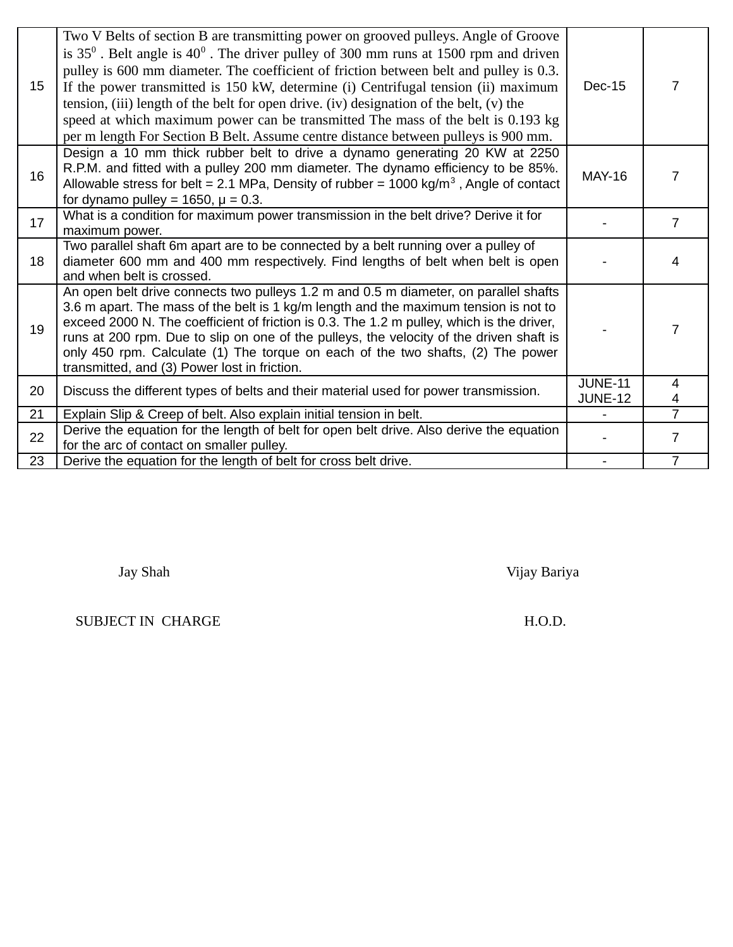| 15 | Two V Belts of section B are transmitting power on grooved pulleys. Angle of Groove<br>is $35^0$ . Belt angle is $40^0$ . The driver pulley of 300 mm runs at 1500 rpm and driven<br>pulley is 600 mm diameter. The coefficient of friction between belt and pulley is 0.3.<br>If the power transmitted is 150 kW, determine (i) Centrifugal tension (ii) maximum<br>tension, (iii) length of the belt for open drive. (iv) designation of the belt, (v) the<br>speed at which maximum power can be transmitted The mass of the belt is 0.193 kg<br>per m length For Section B Belt. Assume centre distance between pulleys is 900 mm. | Dec-15                           | 7                   |
|----|----------------------------------------------------------------------------------------------------------------------------------------------------------------------------------------------------------------------------------------------------------------------------------------------------------------------------------------------------------------------------------------------------------------------------------------------------------------------------------------------------------------------------------------------------------------------------------------------------------------------------------------|----------------------------------|---------------------|
| 16 | Design a 10 mm thick rubber belt to drive a dynamo generating 20 KW at 2250<br>R.P.M. and fitted with a pulley 200 mm diameter. The dynamo efficiency to be 85%.<br>Allowable stress for belt = 2.1 MPa, Density of rubber = $1000 \text{ kg/m}^3$ , Angle of contact<br>for dynamo pulley = $1650$ , $\mu$ = 0.3.                                                                                                                                                                                                                                                                                                                     | <b>MAY-16</b>                    | 7                   |
| 17 | What is a condition for maximum power transmission in the belt drive? Derive it for<br>maximum power.                                                                                                                                                                                                                                                                                                                                                                                                                                                                                                                                  |                                  | $\overline{7}$      |
| 18 | Two parallel shaft 6m apart are to be connected by a belt running over a pulley of<br>diameter 600 mm and 400 mm respectively. Find lengths of belt when belt is open<br>and when belt is crossed.                                                                                                                                                                                                                                                                                                                                                                                                                                     |                                  | 4                   |
| 19 | An open belt drive connects two pulleys 1.2 m and 0.5 m diameter, on parallel shafts<br>3.6 m apart. The mass of the belt is 1 kg/m length and the maximum tension is not to<br>exceed 2000 N. The coefficient of friction is 0.3. The 1.2 m pulley, which is the driver,<br>runs at 200 rpm. Due to slip on one of the pulleys, the velocity of the driven shaft is<br>only 450 rpm. Calculate (1) The torque on each of the two shafts, (2) The power<br>transmitted, and (3) Power lost in friction.                                                                                                                                |                                  | 7                   |
| 20 | Discuss the different types of belts and their material used for power transmission.                                                                                                                                                                                                                                                                                                                                                                                                                                                                                                                                                   | <b>JUNE-11</b><br><b>JUNE-12</b> | $\overline{4}$<br>4 |
| 21 | Explain Slip & Creep of belt. Also explain initial tension in belt.                                                                                                                                                                                                                                                                                                                                                                                                                                                                                                                                                                    |                                  | $\overline{7}$      |
| 22 | Derive the equation for the length of belt for open belt drive. Also derive the equation<br>for the arc of contact on smaller pulley.                                                                                                                                                                                                                                                                                                                                                                                                                                                                                                  |                                  | $\overline{7}$      |
| 23 | Derive the equation for the length of belt for cross belt drive.                                                                                                                                                                                                                                                                                                                                                                                                                                                                                                                                                                       |                                  | $\overline{7}$      |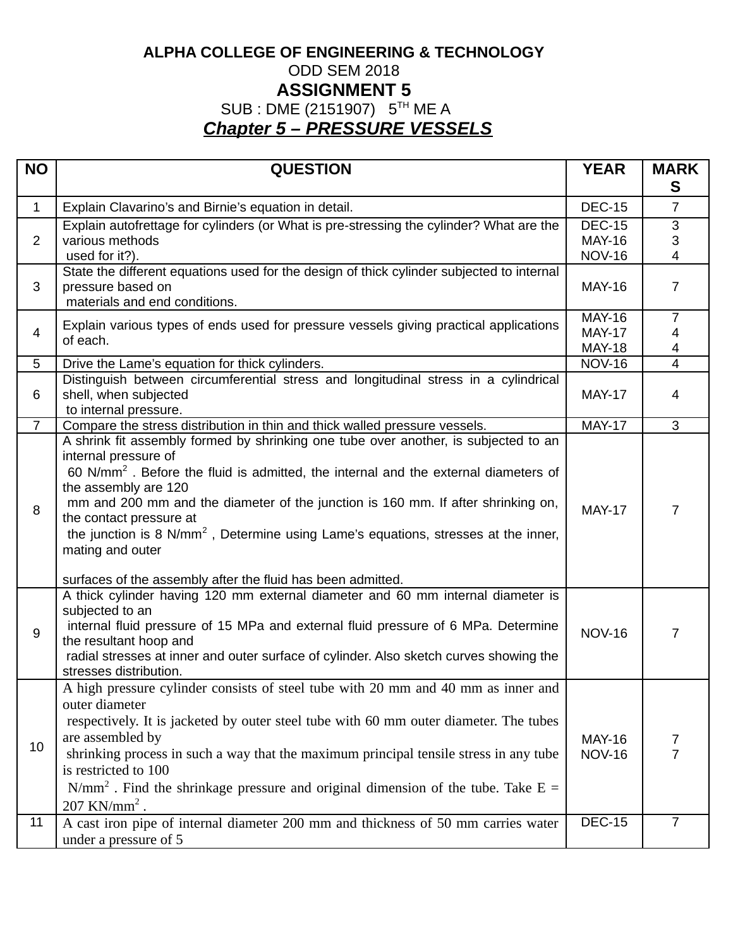## **ALPHA COLLEGE OF ENGINEERING & TECHNOLOGY** ODD SEM 2018 **ASSIGNMENT 5** SUB : DME (2151907) 5<sup>TH</sup> ME A *Chapter 5 – PRESSURE VESSELS*

| <b>NO</b>      | <b>QUESTION</b>                                                                                                                                | <b>YEAR</b>   | <b>MARK</b>    |
|----------------|------------------------------------------------------------------------------------------------------------------------------------------------|---------------|----------------|
|                |                                                                                                                                                |               | S              |
| $\mathbf{1}$   | Explain Clavarino's and Birnie's equation in detail.                                                                                           | <b>DEC-15</b> | $\overline{7}$ |
|                | Explain autofrettage for cylinders (or What is pre-stressing the cylinder? What are the                                                        | <b>DEC-15</b> | 3              |
| $\overline{2}$ | various methods                                                                                                                                | <b>MAY-16</b> | 3              |
|                | used for it?).                                                                                                                                 | <b>NOV-16</b> | $\overline{4}$ |
| 3              | State the different equations used for the design of thick cylinder subjected to internal<br>pressure based on                                 | <b>MAY-16</b> | $\overline{7}$ |
|                | materials and end conditions.                                                                                                                  |               |                |
|                | Explain various types of ends used for pressure vessels giving practical applications                                                          | <b>MAY-16</b> | $\overline{7}$ |
| 4              | of each.                                                                                                                                       | <b>MAY-17</b> | 4              |
|                |                                                                                                                                                | <b>MAY-18</b> | 4              |
| 5              | Drive the Lame's equation for thick cylinders.                                                                                                 | <b>NOV-16</b> | $\overline{4}$ |
| 6              | Distinguish between circumferential stress and longitudinal stress in a cylindrical<br>shell, when subjected                                   | <b>MAY-17</b> | 4              |
|                | to internal pressure.                                                                                                                          |               |                |
| $\overline{7}$ | Compare the stress distribution in thin and thick walled pressure vessels.                                                                     | <b>MAY-17</b> | 3              |
|                | A shrink fit assembly formed by shrinking one tube over another, is subjected to an                                                            |               |                |
|                | internal pressure of                                                                                                                           |               |                |
|                | 60 N/mm <sup>2</sup> . Before the fluid is admitted, the internal and the external diameters of                                                |               |                |
|                | the assembly are 120<br>mm and 200 mm and the diameter of the junction is 160 mm. If after shrinking on,                                       |               |                |
| 8              | the contact pressure at                                                                                                                        | <b>MAY-17</b> | 7              |
|                | the junction is 8 N/mm <sup>2</sup> , Determine using Lame's equations, stresses at the inner,                                                 |               |                |
|                | mating and outer                                                                                                                               |               |                |
|                |                                                                                                                                                |               |                |
|                | surfaces of the assembly after the fluid has been admitted.<br>A thick cylinder having 120 mm external diameter and 60 mm internal diameter is |               |                |
|                | subjected to an                                                                                                                                |               |                |
| 9              | internal fluid pressure of 15 MPa and external fluid pressure of 6 MPa. Determine                                                              | <b>NOV-16</b> | 7              |
|                | the resultant hoop and                                                                                                                         |               |                |
|                | radial stresses at inner and outer surface of cylinder. Also sketch curves showing the                                                         |               |                |
|                | stresses distribution.<br>A high pressure cylinder consists of steel tube with 20 mm and 40 mm as inner and                                    |               |                |
|                | outer diameter                                                                                                                                 |               |                |
|                | respectively. It is jacketed by outer steel tube with 60 mm outer diameter. The tubes                                                          |               |                |
|                | are assembled by                                                                                                                               | <b>MAY-16</b> | 7              |
| 10             | shrinking process in such a way that the maximum principal tensile stress in any tube                                                          | <b>NOV-16</b> | $\overline{7}$ |
|                | is restricted to 100                                                                                                                           |               |                |
|                | $N/mm2$ . Find the shrinkage pressure and original dimension of the tube. Take E =                                                             |               |                |
|                | $207$ KN/mm <sup>2</sup> .                                                                                                                     |               |                |
| 11             | A cast iron pipe of internal diameter 200 mm and thickness of 50 mm carries water                                                              | <b>DEC-15</b> | $\overline{7}$ |
|                | under a pressure of 5                                                                                                                          |               |                |